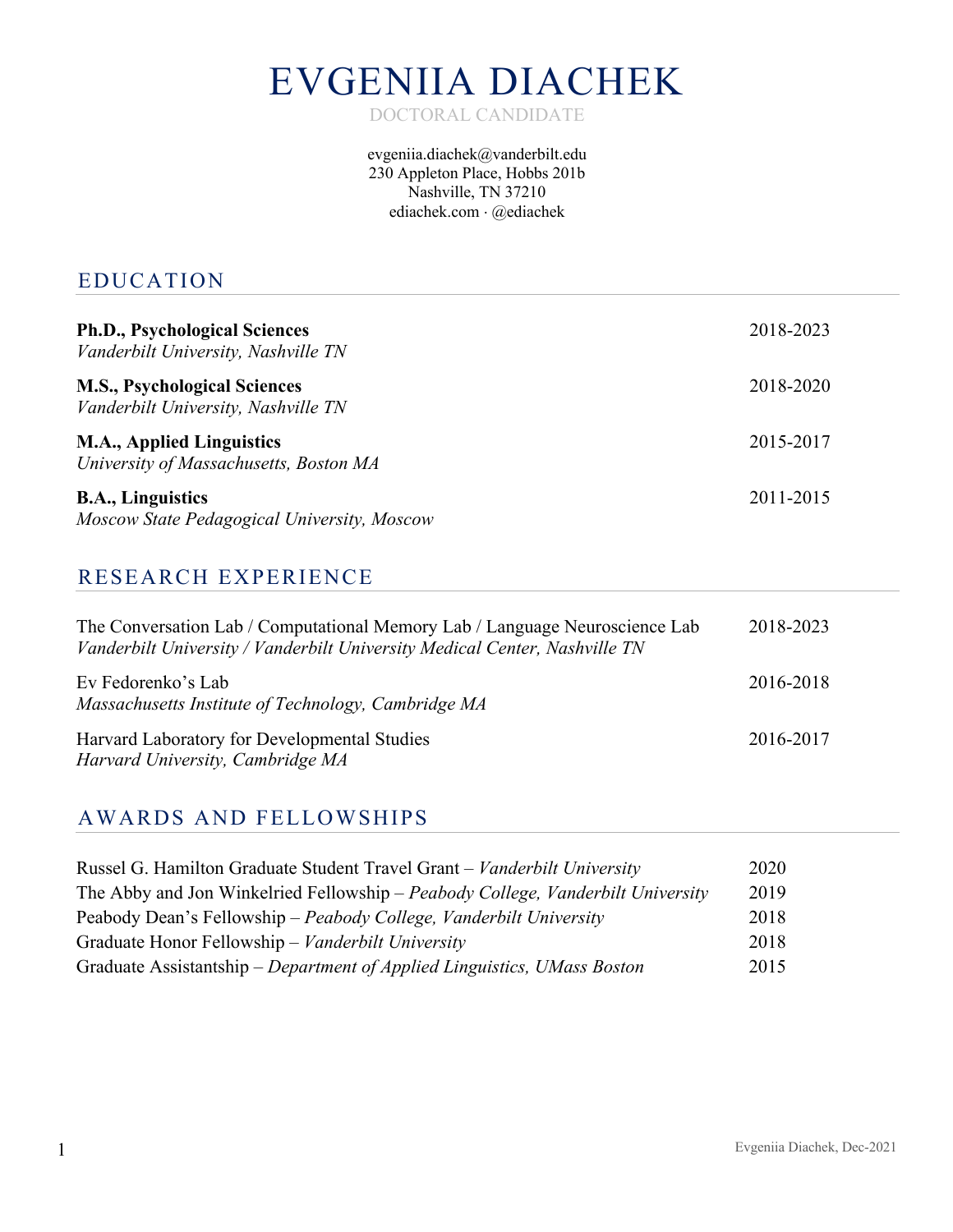# EVGENIIA DIACHEK

DOCTORAL CANDIDATE

evgeniia.diachek@vanderbilt.edu 230 Appleton Place, Hobbs 201b Nashville, TN 37210 ediachek.com × @ediachek

#### EDUCATION

| <b>Ph.D., Psychological Sciences</b><br>Vanderbilt University, Nashville TN | 2018-2023 |
|-----------------------------------------------------------------------------|-----------|
| <b>M.S., Psychological Sciences</b><br>Vanderbilt University, Nashville TN  | 2018-2020 |
| <b>M.A., Applied Linguistics</b><br>University of Massachusetts, Boston MA  | 2015-2017 |
| <b>B.A., Linguistics</b><br>Moscow State Pedagogical University, Moscow     | 2011-2015 |

## RESEARCH EXPERIENCE

| The Conversation Lab / Computational Memory Lab / Language Neuroscience Lab<br>Vanderbilt University / Vanderbilt University Medical Center, Nashville TN | 2018-2023 |
|-----------------------------------------------------------------------------------------------------------------------------------------------------------|-----------|
| Ev Fedorenko's Lab<br>Massachusetts Institute of Technology, Cambridge MA                                                                                 | 2016-2018 |
| Harvard Laboratory for Developmental Studies<br>Harvard University, Cambridge MA                                                                          | 2016-2017 |

### AWARDS AND FELLOWSHIPS

| Russel G. Hamilton Graduate Student Travel Grant - Vanderbilt University        | 2020 |
|---------------------------------------------------------------------------------|------|
| The Abby and Jon Winkelried Fellowship – Peabody College, Vanderbilt University | 2019 |
| Peabody Dean's Fellowship – Peabody College, Vanderbilt University              | 2018 |
| Graduate Honor Fellowship – Vanderbilt University                               | 2018 |
| Graduate Assistantship – Department of Applied Linguistics, UMass Boston        | 2015 |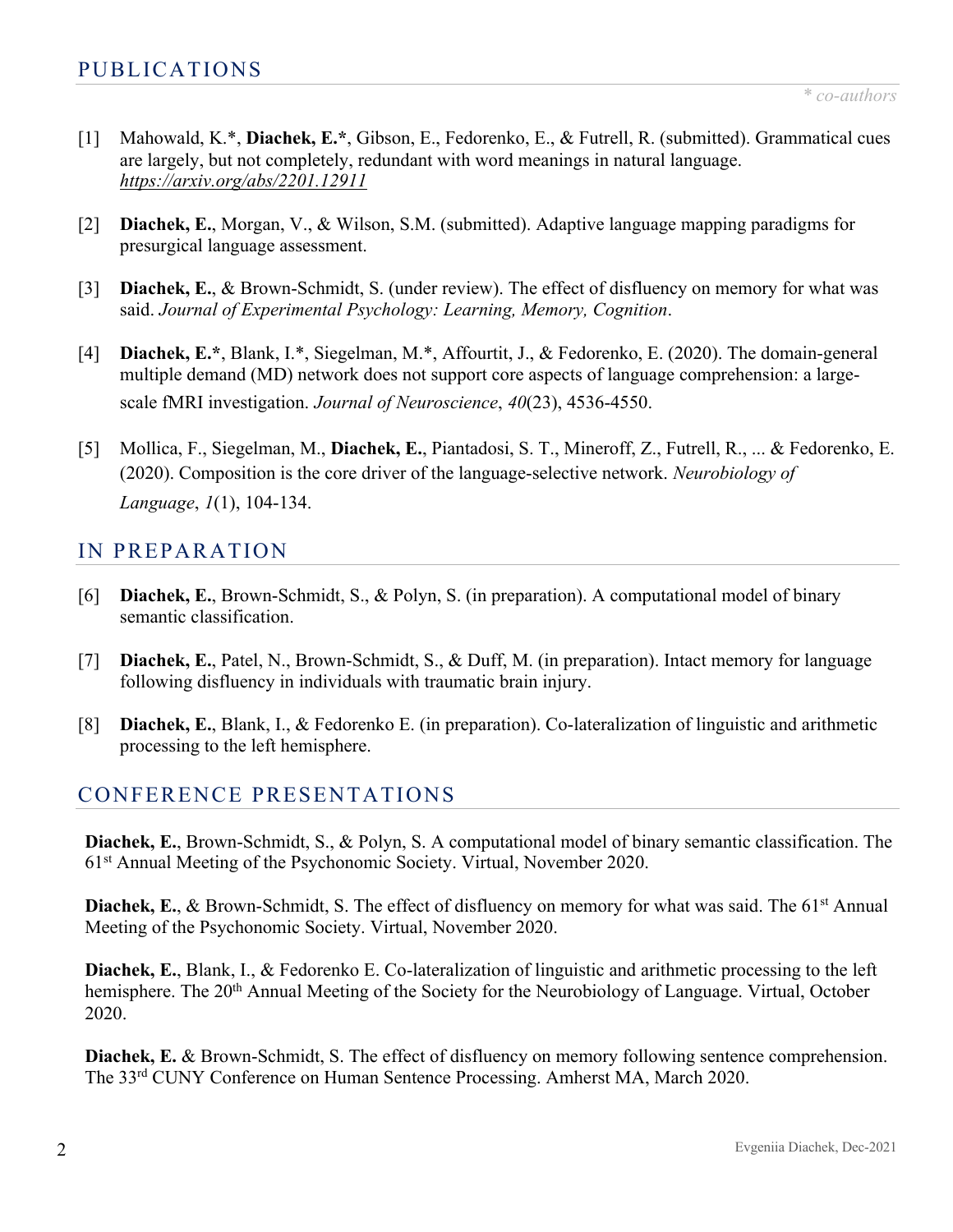- [1] Mahowald, K.\*, **Diachek, E.\***, Gibson, E., Fedorenko, E., & Futrell, R. (submitted). Grammatical cues are largely, but not completely, redundant with word meanings in natural language. *https://arxiv.org/abs/2201.12911*
- [2] **Diachek, E.**, Morgan, V., & Wilson, S.M. (submitted). Adaptive language mapping paradigms for presurgical language assessment.
- [3] **Diachek, E.**, & Brown-Schmidt, S. (under review). The effect of disfluency on memory for what was said. *Journal of Experimental Psychology: Learning, Memory, Cognition*.
- [4] **Diachek, E.\***, Blank, I.\*, Siegelman, M.\*, Affourtit, J., & Fedorenko, E. (2020). The domain-general multiple demand (MD) network does not support core aspects of language comprehension: a largescale fMRI investigation. *Journal of Neuroscience*, *40*(23), 4536-4550.
- [5] Mollica, F., Siegelman, M., **Diachek, E.**, Piantadosi, S. T., Mineroff, Z., Futrell, R., ... & Fedorenko, E. (2020). Composition is the core driver of the language-selective network. *Neurobiology of Language*, *1*(1), 104-134.

#### IN PREPARATION

- [6] **Diachek, E.**, Brown-Schmidt, S., & Polyn, S. (in preparation). A computational model of binary semantic classification.
- [7] **Diachek, E.**, Patel, N., Brown-Schmidt, S., & Duff, M. (in preparation). Intact memory for language following disfluency in individuals with traumatic brain injury.
- [8] **Diachek, E.**, Blank, I., & Fedorenko E. (in preparation). Co-lateralization of linguistic and arithmetic processing to the left hemisphere.

## CONFERENCE PRESENTATIONS

**Diachek, E.**, Brown-Schmidt, S., & Polyn, S. A computational model of binary semantic classification. The 61st Annual Meeting of the Psychonomic Society. Virtual, November 2020.

**Diachek, E., & Brown-Schmidt, S. The effect of disfluency on memory for what was said. The 61<sup>st</sup> Annual** Meeting of the Psychonomic Society. Virtual, November 2020.

**Diachek, E.**, Blank, I., & Fedorenko E. Co-lateralization of linguistic and arithmetic processing to the left hemisphere. The 20<sup>th</sup> Annual Meeting of the Society for the Neurobiology of Language. Virtual, October 2020.

**Diachek, E.** & Brown-Schmidt, S. The effect of disfluency on memory following sentence comprehension. The 33rd CUNY Conference on Human Sentence Processing. Amherst MA, March 2020.